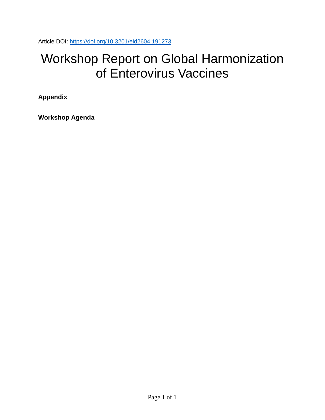Article DOI:<https://doi.org/10.3201/eid2604.191273>

## Workshop Report on Global Harmonization of Enterovirus Vaccines

**Appendix**

**Workshop Agenda**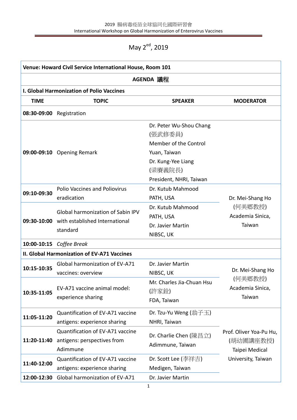## May 2<sup>ed</sup>, 2019

| Venue: Howard Civil Service International House, Room 101<br>AGENDA 議程 |                                                                                                    |                                                                                                                                         |                                                           |  |  |
|------------------------------------------------------------------------|----------------------------------------------------------------------------------------------------|-----------------------------------------------------------------------------------------------------------------------------------------|-----------------------------------------------------------|--|--|
|                                                                        |                                                                                                    |                                                                                                                                         |                                                           |  |  |
| <b>TIME</b>                                                            | <b>TOPIC</b>                                                                                       | <b>SPEAKER</b>                                                                                                                          | <b>MODERATOR</b>                                          |  |  |
|                                                                        | 08:30-09:00 Registration                                                                           |                                                                                                                                         |                                                           |  |  |
|                                                                        | 09:00-09:10 Opening Remark                                                                         | Dr. Peter Wu-Shou Chang<br>(張武修委員)<br>Member of the Control<br>Yuan, Taiwan<br>Dr. Kung-Yee Liang<br>(梁賡義院長)<br>President, NHRI, Taiwan |                                                           |  |  |
| 09:10-09:30                                                            | <b>Polio Vaccines and Poliovirus</b><br>eradication                                                | Dr. Kutub Mahmood<br>PATH, USA                                                                                                          | Dr. Mei-Shang Ho                                          |  |  |
|                                                                        | <b>Global harmonization of Sabin IPV</b><br>09:30-10:00 with established International<br>standard | Dr. Kutub Mahmood<br>PATH, USA<br>Dr. Javier Martin<br>NIBSC, UK                                                                        | (何美鄉教授)<br>Academia Sinica,<br>Taiwan                     |  |  |
|                                                                        | 10:00-10:15 Coffee Break                                                                           |                                                                                                                                         |                                                           |  |  |
|                                                                        | <b>II. Global Harmonization of EV-A71 Vaccines</b>                                                 |                                                                                                                                         |                                                           |  |  |
| 10:15-10:35                                                            | Global harmonization of EV-A71<br>vaccines: overview                                               | Dr. Javier Martin<br>NIBSC, UK                                                                                                          | Dr. Mei-Shang Ho<br>(何美鄉教授)<br>Academia Sinica,<br>Taiwan |  |  |
| 10:35-11:05                                                            | EV-A71 vaccine animal model:<br>experience sharing                                                 | Mr. Charles Jia-Chuan Hsu<br>(許家銓)<br>FDA, Taiwan                                                                                       |                                                           |  |  |
| 11:05-11:20                                                            | Quantification of EV-A71 vaccine<br>antigens: experience sharing                                   | Dr. Tzu-Yu Weng (翁子玉)<br>NHRI, Taiwan                                                                                                   |                                                           |  |  |
| 11:20-11:40                                                            | Quantification of EV-A71 vaccine<br>antigens: perspectives from<br>Adimmune                        | Dr. Charlie Chen (陳昌立)<br>Adimmune, Taiwan                                                                                              | Prof. Oliver Yoa-Pu Hu,<br>(胡幼圃講座教授)<br>Taipei Medical    |  |  |
| 11:40-12:00                                                            | Quantification of EV-A71 vaccine<br>antigens: experience sharing                                   | Dr. Scott Lee (李祥吉)<br>Medigen, Taiwan                                                                                                  | University, Taiwan                                        |  |  |
| 12:00-12:30                                                            | Global harmonization of EV-A71                                                                     | Dr. Javier Martin                                                                                                                       |                                                           |  |  |